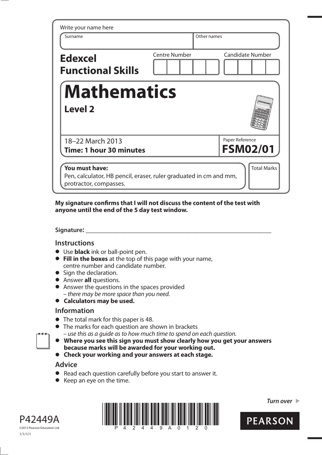| Write your name here                                                                                                                |                      |                                    |  |  |  |  |
|-------------------------------------------------------------------------------------------------------------------------------------|----------------------|------------------------------------|--|--|--|--|
| Surname                                                                                                                             |                      | Other names                        |  |  |  |  |
| <b>Edexcel</b><br><b>Functional Skills</b>                                                                                          | <b>Centre Number</b> | <b>Candidate Number</b>            |  |  |  |  |
| <b>Mathematics</b><br><b>Level 2</b>                                                                                                |                      |                                    |  |  |  |  |
| 18-22 March 2013<br>Time: 1 hour 30 minutes                                                                                         |                      | Paper Reference<br><b>FSM02/01</b> |  |  |  |  |
| You must have:<br><b>Total Marks</b><br>Pen, calculator, HB pencil, eraser, ruler graduated in cm and mm,<br>protractor, compasses. |                      |                                    |  |  |  |  |

### My signature confirms that I will not discuss the content of the test with anyone until the end of the 5 day test window.

### Signature:

## **Instructions**

- Use black ink or ball-point pen.
- Fill in the boxes at the top of this page with your name, centre number and candidate number.
- Sign the declaration.
- Answer all questions.
- Answer the questions in the spaces provided - there may be more space than you need.
- Calculators may be used.

## **Information**

- The total mark for this paper is 48.
- The marks for each question are shown in brackets
	- use this as a quide as to how much time to spend on each question.
- Where you see this sign you must show clearly how you get your answers because marks will be awarded for your working out.
- Check your working and your answers at each stage.

## **Advice**

- Read each question carefully before you start to answer it.
- Keep an eye on the time.





Turn over  $\blacktriangleright$ 

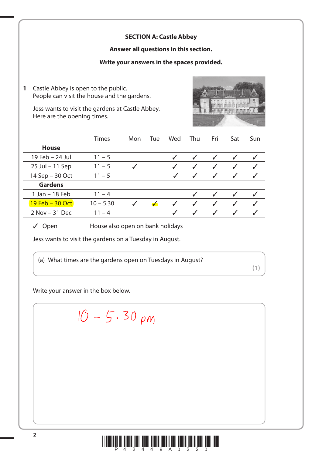# **SECTION A: Castle Abbey**

### Answer all questions in this section.

### Write your answers in the spaces provided.

1 Castle Abbey is open to the public. People can visit the house and the gardens.

Jess wants to visit the gardens at Castle Abbey. Here are the opening times.



|                   | Times       | Mon          | Tue       | Wed          | Thu          | Fri          | Sat          | Sun        |
|-------------------|-------------|--------------|-----------|--------------|--------------|--------------|--------------|------------|
| <b>House</b>      |             |              |           |              |              |              |              |            |
| 19 Feb - 24 Jul   | $11 - 5$    |              |           | ✓            | $\checkmark$ | $\checkmark$ | $\checkmark$ |            |
| 25 Jul - 11 Sep   | $11 - 5$    | $\checkmark$ |           | ✓            | $\checkmark$ |              |              | $\sqrt{ }$ |
| 14 Sep - 30 Oct   | $11 - 5$    |              |           |              |              |              |              |            |
| <b>Gardens</b>    |             |              |           |              |              |              |              |            |
| 1 Jan - 18 Feb    | $11 - 4$    |              |           |              |              |              |              |            |
| $19$ Feb - 30 Oct | $10 - 5.30$ | $\checkmark$ | $\sqrt{}$ | $\checkmark$ |              |              |              |            |
| $2$ Nov – 31 Dec  | $11 - 4$    |              |           | ✔            |              |              |              |            |
|                   |             |              |           |              |              |              |              |            |

 $\sqrt{\phantom{a}}$  Open House also open on bank holidays

Jess wants to visit the gardens on a Tuesday in August.

(a) What times are the gardens open on Tuesdays in August?

 $10 - 5.30 \rho m$ 

 $(1)$ 

Write your answer in the box below.

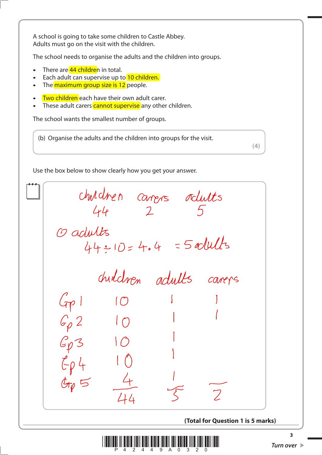A school is going to take some children to Castle Abbey. Adults must go on the visit with the children.

The school needs to organise the adults and the children into groups.

- There are 44 children in total.
- Each adult can supervise up to 10 children.
- The maximum group size is 12 people.
- Two children each have their own adult carer.
- These adult carers cannot supervise any other children.  $\bullet$

The school wants the smallest number of groups.

(b) Organise the adults and the children into groups for the visit.

 $(4)$ 

Use the box below to show clearly how you get your answer.

children canons roluits<br>44 2 5 O adults  $44.0 = 4.4 = 5$  adults<br>children adults carers  $G_{\mathcal{P}}$  $G_{\rho}$  2  $C_p3$ (Total for Question 1 is 5 marks)



 $\overline{\mathbf{3}}$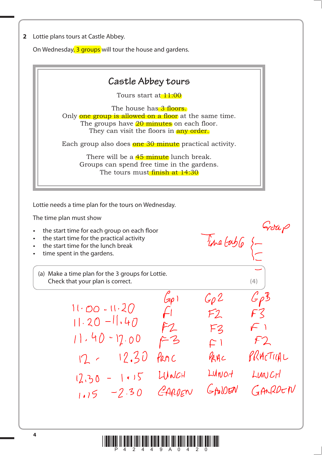**2** Lottie plans tours at Castle Abbey.

On Wednesday, 3 groups will tour the house and gardens.



The time plan must show

- the start time for each group on each floor
- the start time for the practical activity
- the start time for the lunch break
- time spent in the gardens.

(a) Make a time plan for the  $3$  groups for Lottie.

Make a time plan for the 3 groups for Lottie.<br>
Check that your plan is correct.<br>
(4)<br>
11. 00 - 11. 20<br>
11. 20 - 11. 40<br>
F2<br>
F3<br>
11. 40 - 12. 00<br>
F2<br>
F3<br>
F1<br>
F2<br>
F3<br>
F1<br>
F2<br>
F3<br>
F1<br>
F2<br>
F3<br>
F1<br>
F2<br>
F3 12 - 12,30 PRAC RABE PRACTICAL<br>12,30 - 1.15 LUNCH LUNOT LUNCH<br>1.15 -2.30 CARDEN GANDEN GAN2DEN

 $\frac{Grdu}{\sqrt{\frac{1}{2}}\sqrt{\frac{1}{2}}\sqrt{\frac{1}{2}}}}$ 

\$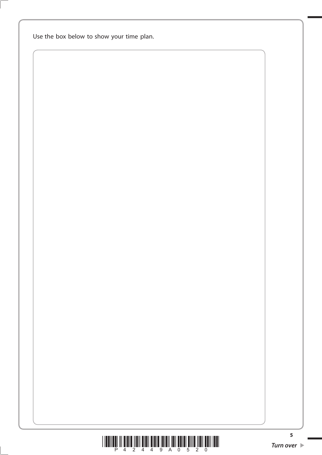Use the box below to show your time plan.

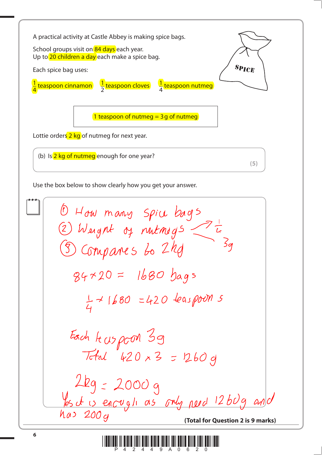

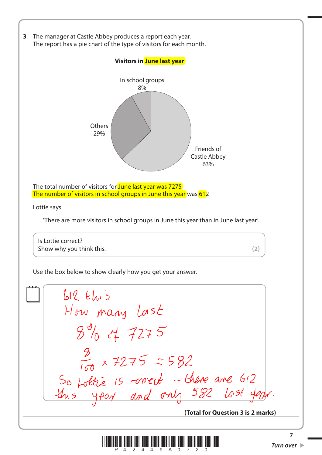| 3 | The manager at Castle Abbey produces a report each year.<br>The report has a pie chart of the type of visitors for each month.                                                                                                       |  |  |  |  |  |  |  |
|---|--------------------------------------------------------------------------------------------------------------------------------------------------------------------------------------------------------------------------------------|--|--|--|--|--|--|--|
|   | <b>Visitors in June last year</b>                                                                                                                                                                                                    |  |  |  |  |  |  |  |
|   | In school groups<br>8%<br>Others<br>29%<br>Friends of<br><b>Castle Abbey</b><br>63%                                                                                                                                                  |  |  |  |  |  |  |  |
|   | The total number of visitors for June last year was 7275<br>The number of visitors in school groups in June this year was 612<br>Lottie says<br>'There are more visitors in school groups in June this year than in June last year'. |  |  |  |  |  |  |  |
|   | Is Lottie correct?<br>Show why you think this.<br>(2)                                                                                                                                                                                |  |  |  |  |  |  |  |
|   | Use the box below to show clearly how you get your answer.                                                                                                                                                                           |  |  |  |  |  |  |  |
|   | $112$ $Eln5$<br>How many last<br>$8\%$ et 7275<br>$\frac{2}{100}$ x 7275 = 582<br>So foltie 15 correct - there are 612<br>this year and only 582 lost year                                                                           |  |  |  |  |  |  |  |
|   | (Total for Question 3 is 2 marks)                                                                                                                                                                                                    |  |  |  |  |  |  |  |

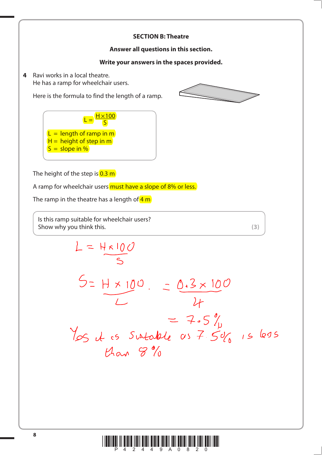#### **SECTION B: Theatre**

#### Answer all questions in this section.

#### Write your answers in the spaces provided.

4 Ravi works in a local theatre. He has a ramp for wheelchair users.

Here is the formula to find the length of a ramp.





The height of the step is  $0.3 \text{ m}$ 

 $\ddot{\phantom{a}}$ 

A ramp for wheelchair users must have a slope of 8% or less.

The ramp in the theatre has a length of  $\frac{4 \text{ m}}{2}$ 

Is this ramp suitable for wheelchair users? Show why you think this.

 $(3)$ 

$$
L = H \times 100\nS = H \times 100 = 0.3 \times 100\nU = 7.5\%\nYos de es Sudable os 7.5% is less\nHaan 8%
$$

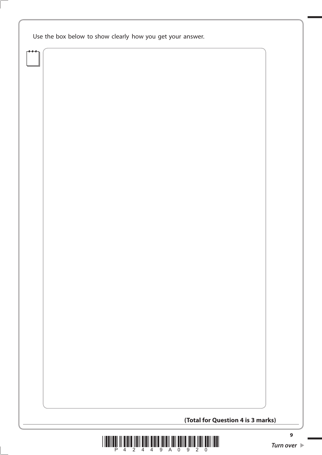| Use the box below to show clearly how you get your answer. |  |  |  |  |  |  |  |  |  |  |  |  |
|------------------------------------------------------------|--|--|--|--|--|--|--|--|--|--|--|--|
|------------------------------------------------------------|--|--|--|--|--|--|--|--|--|--|--|--|

(Total for Question 4 is 3 marks)

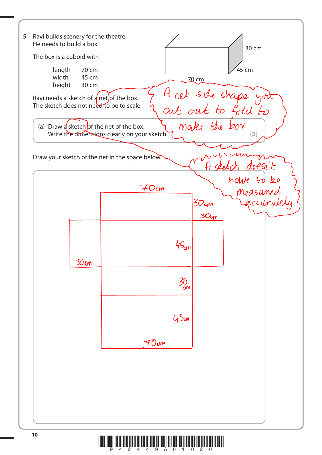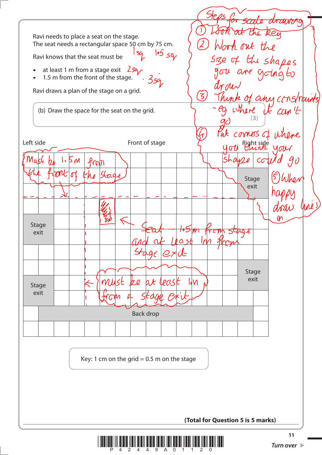scale drawing ook at the Rey  $\mathbf{I}$ Ravi needs to place a seat on the stage. wh out the  $\overline{z}$ The seat needs a rectangular space 50 cm by 75 cm. ruincom un<br>Size of the shapes<br>you are going to  $1055$  $S G$ Ravi knows that the seat must be at least 1 m from a stage exit  $2\%$  $\bullet$ 1.5 m from the front of the stage.  $\bullet$ Ravi draws a plan of the stage on a grid.  $\widetilde{\mathcal{E}}$ Think of any constraints Where E can 't (b) Draw the space for the seat on the grid.  $(3)$  $Q(r)$ corners of where Front of stage Right side Left side YUN YM Shal  $cc$  $f$ ropi 20 > M Lage  $\sigma$ đ 'h o Stage exit Stage rge exit T CTM  $\alpha$  sk  $\Omega$ iĿ  $Q \epsilon$ Stage exit M U l<E b o a k lecist (M Stage exit 7 C **Back drop** Key: 1 cm on the grid  $= 0.5$  m on the stage (Total for Question 5 is 5 marks)  $11$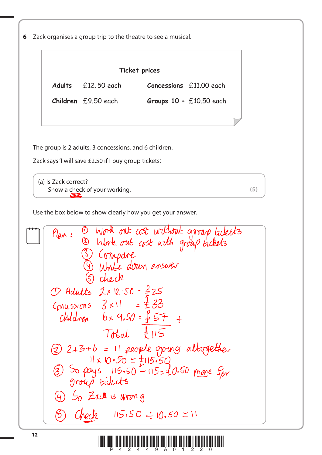6 Zack organises a group trip to the theatre to see a musical.



The group is 2 adults, 3 concessions, and 6 children.

Zack says 'I will save £2.50 if I buy group tickets.'

(a) Is Zack correct? Show a check of your working.

 $(5)$ 

Use the box below to show clearly how you get your answer.

Plan: O Work out cost without group takets<br>O Work out cost with group takets<br>O Compare  $5$  check 1 Adults 2x 12.50 = £25  $C_{\text{p}}$ <br>  $C_{\text{p}}$   $C_{\text{p}}$   $C_{\text{p}}$   $C_{\text{p}}$   $D_{\text{p}}$   $S \times 1$  =  $\frac{1}{2}$  33<br>  $C_{\text{p}}$   $C_{\text{p}}$   $C_{\text{p}}$   $D_{\text{p}}$   $D_{\text{p}}$   $C_{\text{p}}$   $D_{\text{p}}$   $D_{\text{p}}$   $D_{\text{p}}$   $D_{\text{p}}$   $D_{\text{p}}$   $D_{\text{p}}$   $D_{\text{p}}$   $D_{\text{$ Total F115 2)  $2+3+6 = 11$  people going altogether<br> $11 \times 10.50 = \frac{1}{2}115.50$ <br>(3) So pays  $115.50 - 115 = \frac{1}{2}0.50$  more fer<br>group tidules 4 So Zack is wrong  $0.50 \div 10.50 = 11$  $\left( \mathfrak{H}\right)$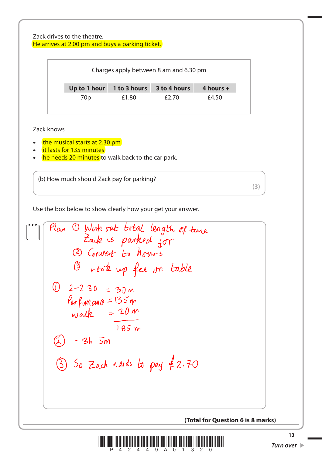# Zack drives to the theatre. He arrives at 2.00 pm and buys a parking ticket.

| Charges apply between 8 am and 6.30 pm |              |              |             |  |  |  |  |
|----------------------------------------|--------------|--------------|-------------|--|--|--|--|
| Up to 1 hour                           | 1 to 3 hours | 3 to 4 hours | 4 hours $+$ |  |  |  |  |
| 70p                                    | £1.80        | £2.70        | £4.50       |  |  |  |  |
|                                        |              |              |             |  |  |  |  |

# Zack knows

- the musical starts at 2.30 pm
- it lasts for 135 minutes
- he needs 20 minutes to walk back to the car park.

(b) How much should Zack pay for parking?

Use the box below to show clearly how your get your answer.

$$
Plan ① Work cut trtal length of true\n
$$
2ak \leq panhed \text{ for}
$$
\n
$$
63
$$
\n
$$
67
$$
\n
$$
69
$$
\n
$$
67
$$
\n
$$
69
$$
\n
$$
185
$$
\n
$$
60 = 3h
$$
\n
$$
185
$$
\n
$$
61 = 2h
$$
\n
$$
62 = 2h
$$
\n
$$
185
$$
\n
$$
63 = 2ak
$$
\n
$$
185
$$
\n
$$
185
$$
\n
$$
185
$$
\n
$$
185
$$
\n
$$
185
$$
\n
$$
185
$$
\n
$$
185
$$
\n
$$
185
$$
\n
$$
185
$$
\n
$$
185
$$
\n
$$
185
$$
\n
$$
185
$$
\n
$$
185
$$
\n
$$
185
$$
\n
$$
185
$$
\n
$$
185
$$
\n
$$
185
$$
\n
$$
185
$$
\n
$$
185
$$
\n
$$
185
$$
\n
$$
185
$$
\n
$$
185
$$
\n
$$
185
$$
\n
$$
185
$$
\n
$$
185
$$
\n
$$
185
$$
\n
$$
185
$$
\n
$$
185
$$
\n
$$
185
$$
\n
$$
185
$$
\n
$$
185
$$
\n
$$
185
$$
\n
$$
185
$$
\n
$$
185
$$
\n
$$
185
$$
\n
$$
185
$$
\n
$$
185
$$
\n
$$
185
$$
\n
$$
185
$$
\n
$$
185
$$
\n $$
$$



 $(3)$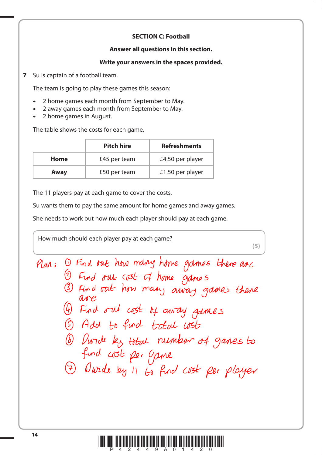## **SECTION C: Football**

### Answer all questions in this section.

### Write your answers in the spaces provided.

 $\overline{7}$ Su is captain of a football team.

The team is going to play these games this season:

- 2 home games each month from September to May.
- 2 away games each month from September to May.
- 2 home games in August.

The table shows the costs for each game.

|      | <b>Pitch hire</b> | <b>Refreshments</b> |
|------|-------------------|---------------------|
| Home | £45 per team      | £4.50 per player    |
| Away | £50 per team      | £1.50 per player    |

The 11 players pay at each game to cover the costs.

Su wants them to pay the same amount for home games and away games.

She needs to work out how much each player should pay at each game.

How much should each player pay at each game?

 $(5)$ 

1 Find out how many home games there are Plan; 2 Find out cost of home games<br>3 Find out how many away games there ave 4 Find out cost of away games (5) Add to find total ust (6) Durde by Had number of ganes to<br>find cost per game<br>(7) Ourde by 11 to find cost per player

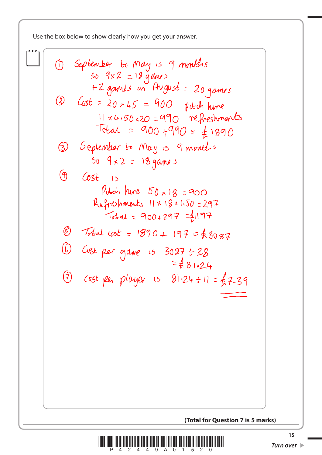Use the box below to show clearly how you get your answer.

September to May is 9 months  $(1)$ 50 9x2 = 18 games<br>+2 games on August = 20 games  $2$   $20 - 45 = 900$  putch hime  $11\times 4.50\times 20=990$  refreshments  $Tetat = 900 + 990 = 1890$ 3 September to May is 9 mont :  $50$   $9 \times 2 = 18$  games  $(9)$  $C$  $D3t$  15 Putch have  $50\times18=900$ Refreshments 11 x 18 x 1.50 = 297  $T_{obs}$ al = 900+297 = 1197  $\textcircled{5}$  Total cost = 1890 + 1197 = \$3087 6 Cost per game 15 3097 : 38<br>= \$ 81.24<br>(7) Cost per player 15 81.24 : 11 = \$7.39 (Total for Question 7 is 5 marks)

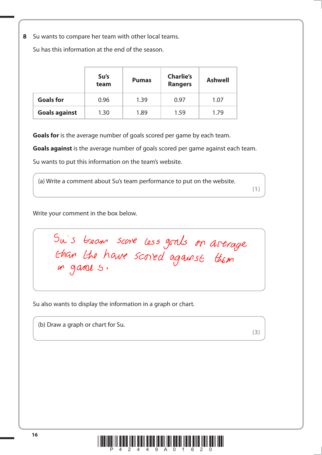8 Su wants to compare her team with other local teams.

Su has this information at the end of the season.

|                      | Su's<br>team | <b>Pumas</b> | <b>Charlie's</b><br><b>Rangers</b> | <b>Ashwell</b> |
|----------------------|--------------|--------------|------------------------------------|----------------|
| <b>Goals for</b>     | 0.96         | 1.39         | 0.97                               | 1.07           |
| <b>Goals against</b> | 1.30         | 1.89         | 1.59                               | 1.79           |

Goals for is the average number of goals scored per game by each team.

Goals against is the average number of goals scored per game against each team.

Su wants to put this information on the team's website.

(a) Write a comment about Su's team performance to put on the website.

 $(1)$ 

Write your comment in the box below.

Su's team score less grals on arerage<br>Chan the have scored against them

Su also wants to display the information in a graph or chart.

(b) Draw a graph or chart for Su.

 $(3)$ 

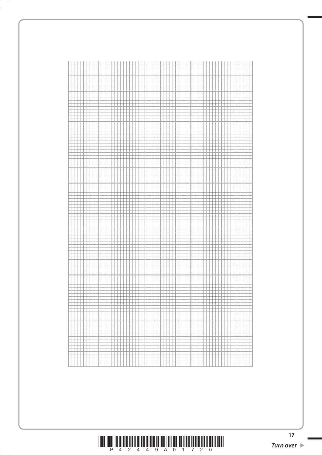

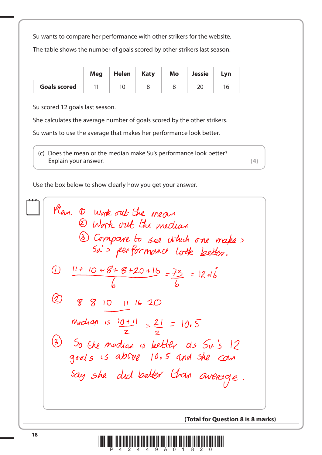Su wants to compare her performance with other strikers for the website.

The table shows the number of goals scored by other strikers last season.

|                     | <b>Meg</b> | <b>Helen</b> | <b>Katy</b> | Mo | <b>Jessie</b> | Lvn |
|---------------------|------------|--------------|-------------|----|---------------|-----|
| <b>Goals scored</b> |            | 10           |             |    |               | 16  |

Su scored 12 goals last season.

She calculates the average number of goals scored by the other strikers.

Su wants to use the average that makes her performance look better.

(c) Does the mean or the median make Su's performance look better? Explain your answer.

 $(4)$ 

Use the box below to show clearly how you get your answer.

Plan. O work out the mean 3 Compare to see which one make ><br>Si s performance cook better.  $\frac{11+10+8+8+20+16}{6}=\frac{73}{6}=12.016$  $(1)$  $(2)$  8 8 10 11 16 20  $median$  is  $\frac{10+11}{2} = \frac{21}{2} = 10.5$ 3) So the median is ketter as Sv's 12<br>goals is above 10.5 and she can<br>Say she did ketter than average.

(Total for Question 8 is 8 marks)

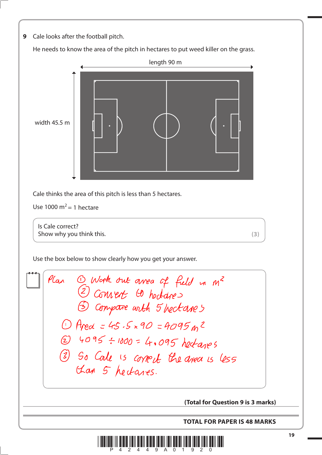9 Cale looks after the football pitch. He needs to know the area of the pitch in hectares to put weed killer on the grass. length 90 m width  $45.5 \text{ m}$ Cale thinks the area of this pitch is less than 5 hectares. Use 1000  $m^2$  = 1 hectare Is Cale correct? Show why you think this.  $(3)$ Use the box below to show clearly how you get your answer. 1 Work out avea of field in m<sup>2</sup><br>2 Convert (O hodare) Plan 3) Compare with 5 hectares 1 Apea = 45.5 x 90 = 4095 m2  $204095 + 1000 = 4.095$  heckanes 3) So Cale is comect the area is less Chan 5 hectares. (Total for Question 9 is 3 marks) **TOTAL FOR PAPER IS 48 MARKS** 

2 4 4 9 A 0 1 9